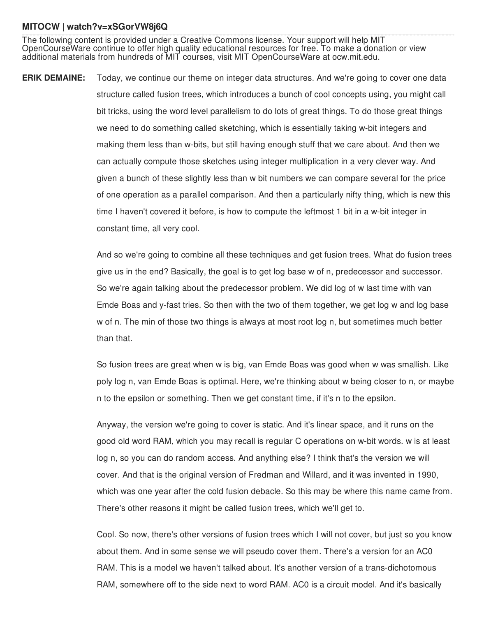## **MITOCW | watch?v=xSGorVW8j6Q**

The following content is provided under a Creative Commons license. Your support will help MIT OpenCourseWare continue to offer high quality educational resources for free. To make a donation or view additional materials from hundreds of MIT courses, visit MIT OpenCourseWare at ocw.mit.edu.

**ERIK DEMAINE:** Today, we continue our theme on integer data structures. And we're going to cover one data structure called fusion trees, which introduces a bunch of cool concepts using, you might call bit tricks, using the word level parallelism to do lots of great things. To do those great things we need to do something called sketching, which is essentially taking w-bit integers and making them less than w-bits, but still having enough stuff that we care about. And then we can actually compute those sketches using integer multiplication in a very clever way. And given a bunch of these slightly less than w bit numbers we can compare several for the price of one operation as a parallel comparison. And then a particularly nifty thing, which is new this time I haven't covered it before, is how to compute the leftmost 1 bit in a w-bit integer in constant time, all very cool.

> And so we're going to combine all these techniques and get fusion trees. What do fusion trees give us in the end? Basically, the goal is to get log base w of n, predecessor and successor. So we're again talking about the predecessor problem. We did log of w last time with van Emde Boas and y-fast tries. So then with the two of them together, we get log w and log base w of n. The min of those two things is always at most root log n, but sometimes much better than that.

> So fusion trees are great when w is big, van Emde Boas was good when w was smallish. Like poly log n, van Emde Boas is optimal. Here, we're thinking about w being closer to n, or maybe n to the epsilon or something. Then we get constant time, if it's n to the epsilon.

> Anyway, the version we're going to cover is static. And it's linear space, and it runs on the good old word RAM, which you may recall is regular C operations on w-bit words. w is at least log n, so you can do random access. And anything else? I think that's the version we will cover. And that is the original version of Fredman and Willard, and it was invented in 1990, which was one year after the cold fusion debacle. So this may be where this name came from. There's other reasons it might be called fusion trees, which we'll get to.

> Cool. So now, there's other versions of fusion trees which I will not cover, but just so you know about them. And in some sense we will pseudo cover them. There's a version for an AC0 RAM. This is a model we haven't talked about. It's another version of a trans-dichotomous RAM, somewhere off to the side next to word RAM. AC0 is a circuit model. And it's basically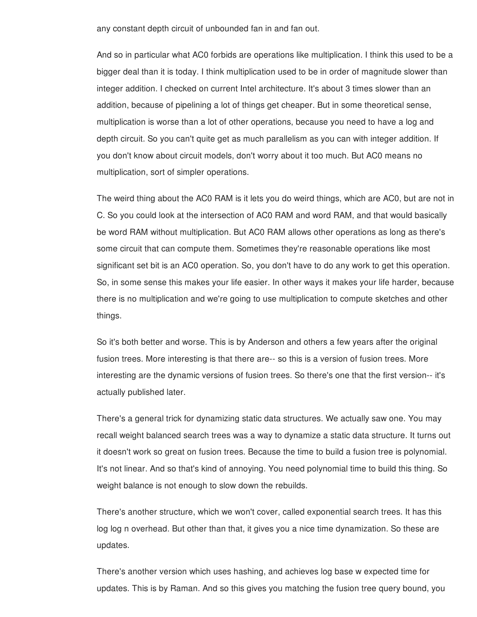any constant depth circuit of unbounded fan in and fan out.

And so in particular what AC0 forbids are operations like multiplication. I think this used to be a bigger deal than it is today. I think multiplication used to be in order of magnitude slower than integer addition. I checked on current Intel architecture. It's about 3 times slower than an addition, because of pipelining a lot of things get cheaper. But in some theoretical sense, multiplication is worse than a lot of other operations, because you need to have a log and depth circuit. So you can't quite get as much parallelism as you can with integer addition. If you don't know about circuit models, don't worry about it too much. But AC0 means no multiplication, sort of simpler operations.

The weird thing about the AC0 RAM is it lets you do weird things, which are AC0, but are not in C. So you could look at the intersection of AC0 RAM and word RAM, and that would basically be word RAM without multiplication. But AC0 RAM allows other operations as long as there's some circuit that can compute them. Sometimes they're reasonable operations like most significant set bit is an AC0 operation. So, you don't have to do any work to get this operation. So, in some sense this makes your life easier. In other ways it makes your life harder, because there is no multiplication and we're going to use multiplication to compute sketches and other things.

So it's both better and worse. This is by Anderson and others a few years after the original fusion trees. More interesting is that there are-- so this is a version of fusion trees. More interesting are the dynamic versions of fusion trees. So there's one that the first version-- it's actually published later.

There's a general trick for dynamizing static data structures. We actually saw one. You may recall weight balanced search trees was a way to dynamize a static data structure. It turns out it doesn't work so great on fusion trees. Because the time to build a fusion tree is polynomial. It's not linear. And so that's kind of annoying. You need polynomial time to build this thing. So weight balance is not enough to slow down the rebuilds.

There's another structure, which we won't cover, called exponential search trees. It has this log log n overhead. But other than that, it gives you a nice time dynamization. So these are updates.

There's another version which uses hashing, and achieves log base w expected time for updates. This is by Raman. And so this gives you matching the fusion tree query bound, you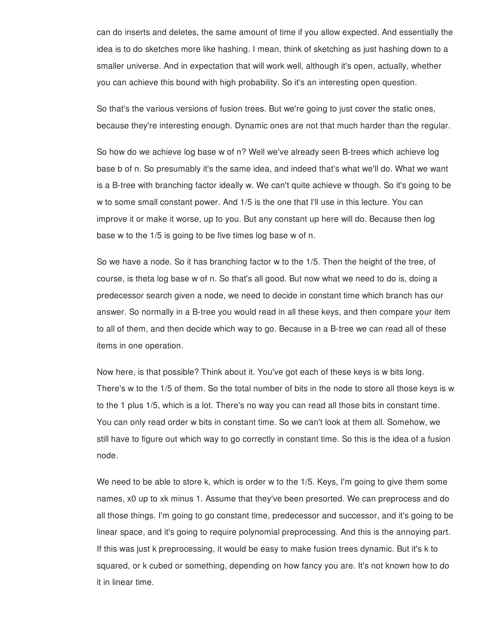can do inserts and deletes, the same amount of time if you allow expected. And essentially the idea is to do sketches more like hashing. I mean, think of sketching as just hashing down to a smaller universe. And in expectation that will work well, although it's open, actually, whether you can achieve this bound with high probability. So it's an interesting open question.

So that's the various versions of fusion trees. But we're going to just cover the static ones, because they're interesting enough. Dynamic ones are not that much harder than the regular.

So how do we achieve log base w of n? Well we've already seen B-trees which achieve log base b of n. So presumably it's the same idea, and indeed that's what we'll do. What we want is a B-tree with branching factor ideally w. We can't quite achieve w though. So it's going to be w to some small constant power. And 1/5 is the one that I'll use in this lecture. You can improve it or make it worse, up to you. But any constant up here will do. Because then log base w to the 1/5 is going to be five times log base w of n.

So we have a node. So it has branching factor w to the 1/5. Then the height of the tree, of course, is theta log base w of n. So that's all good. But now what we need to do is, doing a predecessor search given a node, we need to decide in constant time which branch has our answer. So normally in a B-tree you would read in all these keys, and then compare your item to all of them, and then decide which way to go. Because in a B-tree we can read all of these items in one operation.

Now here, is that possible? Think about it. You've got each of these keys is w bits long. There's w to the 1/5 of them. So the total number of bits in the node to store all those keys is w to the 1 plus 1/5, which is a lot. There's no way you can read all those bits in constant time. You can only read order w bits in constant time. So we can't look at them all. Somehow, we still have to figure out which way to go correctly in constant time. So this is the idea of a fusion node.

We need to be able to store k, which is order w to the 1/5. Keys, I'm going to give them some names, x0 up to xk minus 1. Assume that they've been presorted. We can preprocess and do all those things. I'm going to go constant time, predecessor and successor, and it's going to be linear space, and it's going to require polynomial preprocessing. And this is the annoying part. If this was just k preprocessing, it would be easy to make fusion trees dynamic. But it's k to squared, or k cubed or something, depending on how fancy you are. It's not known how to do it in linear time.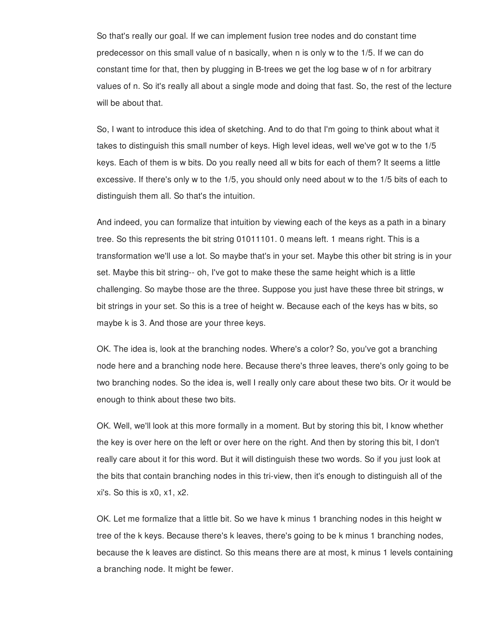So that's really our goal. If we can implement fusion tree nodes and do constant time predecessor on this small value of n basically, when n is only w to the 1/5. If we can do constant time for that, then by plugging in B-trees we get the log base w of n for arbitrary values of n. So it's really all about a single mode and doing that fast. So, the rest of the lecture will be about that.

So, I want to introduce this idea of sketching. And to do that I'm going to think about what it takes to distinguish this small number of keys. High level ideas, well we've got w to the 1/5 keys. Each of them is w bits. Do you really need all w bits for each of them? It seems a little excessive. If there's only w to the 1/5, you should only need about w to the 1/5 bits of each to distinguish them all. So that's the intuition.

And indeed, you can formalize that intuition by viewing each of the keys as a path in a binary tree. So this represents the bit string 01011101. 0 means left. 1 means right. This is a transformation we'll use a lot. So maybe that's in your set. Maybe this other bit string is in your set. Maybe this bit string-- oh, I've got to make these the same height which is a little challenging. So maybe those are the three. Suppose you just have these three bit strings, w bit strings in your set. So this is a tree of height w. Because each of the keys has w bits, so maybe k is 3. And those are your three keys.

OK. The idea is, look at the branching nodes. Where's a color? So, you've got a branching node here and a branching node here. Because there's three leaves, there's only going to be two branching nodes. So the idea is, well I really only care about these two bits. Or it would be enough to think about these two bits.

OK. Well, we'll look at this more formally in a moment. But by storing this bit, I know whether the key is over here on the left or over here on the right. And then by storing this bit, I don't really care about it for this word. But it will distinguish these two words. So if you just look at the bits that contain branching nodes in this tri-view, then it's enough to distinguish all of the xi's. So this is x0, x1, x2.

OK. Let me formalize that a little bit. So we have k minus 1 branching nodes in this height w tree of the k keys. Because there's k leaves, there's going to be k minus 1 branching nodes, because the k leaves are distinct. So this means there are at most, k minus 1 levels containing a branching node. It might be fewer.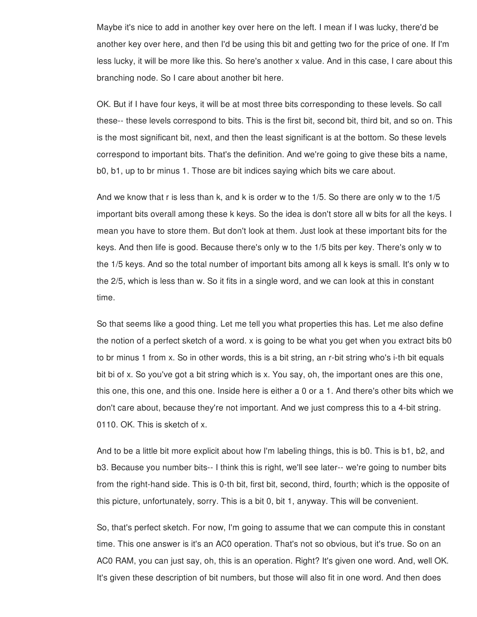Maybe it's nice to add in another key over here on the left. I mean if I was lucky, there'd be another key over here, and then I'd be using this bit and getting two for the price of one. If I'm less lucky, it will be more like this. So here's another x value. And in this case, I care about this branching node. So I care about another bit here.

OK. But if I have four keys, it will be at most three bits corresponding to these levels. So call these-- these levels correspond to bits. This is the first bit, second bit, third bit, and so on. This is the most significant bit, next, and then the least significant is at the bottom. So these levels correspond to important bits. That's the definition. And we're going to give these bits a name, b0, b1, up to br minus 1. Those are bit indices saying which bits we care about.

And we know that r is less than k, and k is order w to the 1/5. So there are only w to the 1/5 important bits overall among these k keys. So the idea is don't store all w bits for all the keys. I mean you have to store them. But don't look at them. Just look at these important bits for the keys. And then life is good. Because there's only w to the 1/5 bits per key. There's only w to the 1/5 keys. And so the total number of important bits among all k keys is small. It's only w to the 2/5, which is less than w. So it fits in a single word, and we can look at this in constant time.

So that seems like a good thing. Let me tell you what properties this has. Let me also define the notion of a perfect sketch of a word. x is going to be what you get when you extract bits b0 to br minus 1 from x. So in other words, this is a bit string, an r-bit string who's i-th bit equals bit bi of x. So you've got a bit string which is x. You say, oh, the important ones are this one, this one, this one, and this one. Inside here is either a 0 or a 1. And there's other bits which we don't care about, because they're not important. And we just compress this to a 4-bit string. 0110. OK. This is sketch of x.

And to be a little bit more explicit about how I'm labeling things, this is b0. This is b1, b2, and b3. Because you number bits-- I think this is right, we'll see later-- we're going to number bits from the right-hand side. This is 0-th bit, first bit, second, third, fourth; which is the opposite of this picture, unfortunately, sorry. This is a bit 0, bit 1, anyway. This will be convenient.

So, that's perfect sketch. For now, I'm going to assume that we can compute this in constant time. This one answer is it's an AC0 operation. That's not so obvious, but it's true. So on an AC0 RAM, you can just say, oh, this is an operation. Right? It's given one word. And, well OK. It's given these description of bit numbers, but those will also fit in one word. And then does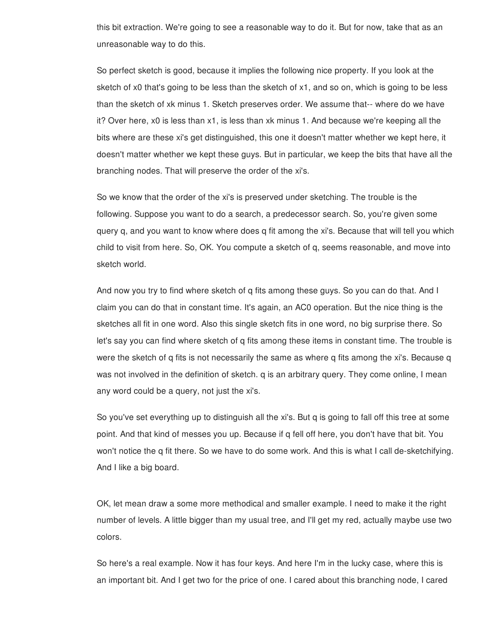this bit extraction. We're going to see a reasonable way to do it. But for now, take that as an unreasonable way to do this.

So perfect sketch is good, because it implies the following nice property. If you look at the sketch of x0 that's going to be less than the sketch of x1, and so on, which is going to be less than the sketch of xk minus 1. Sketch preserves order. We assume that-- where do we have it? Over here, x0 is less than x1, is less than xk minus 1. And because we're keeping all the bits where are these xi's get distinguished, this one it doesn't matter whether we kept here, it doesn't matter whether we kept these guys. But in particular, we keep the bits that have all the branching nodes. That will preserve the order of the xi's.

So we know that the order of the xi's is preserved under sketching. The trouble is the following. Suppose you want to do a search, a predecessor search. So, you're given some query q, and you want to know where does q fit among the xi's. Because that will tell you which child to visit from here. So, OK. You compute a sketch of q, seems reasonable, and move into sketch world.

And now you try to find where sketch of q fits among these guys. So you can do that. And I claim you can do that in constant time. It's again, an AC0 operation. But the nice thing is the sketches all fit in one word. Also this single sketch fits in one word, no big surprise there. So let's say you can find where sketch of q fits among these items in constant time. The trouble is were the sketch of q fits is not necessarily the same as where q fits among the xi's. Because q was not involved in the definition of sketch. q is an arbitrary query. They come online, I mean any word could be a query, not just the xi's.

So you've set everything up to distinguish all the xi's. But q is going to fall off this tree at some point. And that kind of messes you up. Because if q fell off here, you don't have that bit. You won't notice the q fit there. So we have to do some work. And this is what I call de-sketchifying. And I like a big board.

OK, let mean draw a some more methodical and smaller example. I need to make it the right number of levels. A little bigger than my usual tree, and I'll get my red, actually maybe use two colors.

So here's a real example. Now it has four keys. And here I'm in the lucky case, where this is an important bit. And I get two for the price of one. I cared about this branching node, I cared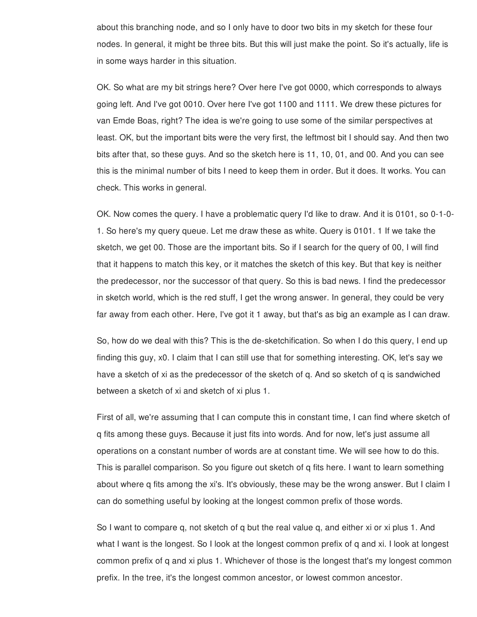about this branching node, and so I only have to door two bits in my sketch for these four nodes. In general, it might be three bits. But this will just make the point. So it's actually, life is in some ways harder in this situation.

OK. So what are my bit strings here? Over here I've got 0000, which corresponds to always going left. And I've got 0010. Over here I've got 1100 and 1111. We drew these pictures for van Emde Boas, right? The idea is we're going to use some of the similar perspectives at least. OK, but the important bits were the very first, the leftmost bit I should say. And then two bits after that, so these guys. And so the sketch here is 11, 10, 01, and 00. And you can see this is the minimal number of bits I need to keep them in order. But it does. It works. You can check. This works in general.

OK. Now comes the query. I have a problematic query I'd like to draw. And it is 0101, so 0-1-0- 1. So here's my query queue. Let me draw these as white. Query is 0101. 1 If we take the sketch, we get 00. Those are the important bits. So if I search for the query of 00, I will find that it happens to match this key, or it matches the sketch of this key. But that key is neither the predecessor, nor the successor of that query. So this is bad news. I find the predecessor in sketch world, which is the red stuff, I get the wrong answer. In general, they could be very far away from each other. Here, I've got it 1 away, but that's as big an example as I can draw.

So, how do we deal with this? This is the de-sketchification. So when I do this query, I end up finding this guy, x0. I claim that I can still use that for something interesting. OK, let's say we have a sketch of xi as the predecessor of the sketch of q. And so sketch of q is sandwiched between a sketch of xi and sketch of xi plus 1.

First of all, we're assuming that I can compute this in constant time, I can find where sketch of q fits among these guys. Because it just fits into words. And for now, let's just assume all operations on a constant number of words are at constant time. We will see how to do this. This is parallel comparison. So you figure out sketch of q fits here. I want to learn something about where q fits among the xi's. It's obviously, these may be the wrong answer. But I claim I can do something useful by looking at the longest common prefix of those words.

So I want to compare q, not sketch of q but the real value q, and either xi or xi plus 1. And what I want is the longest. So I look at the longest common prefix of q and xi. I look at longest common prefix of q and xi plus 1. Whichever of those is the longest that's my longest common prefix. In the tree, it's the longest common ancestor, or lowest common ancestor.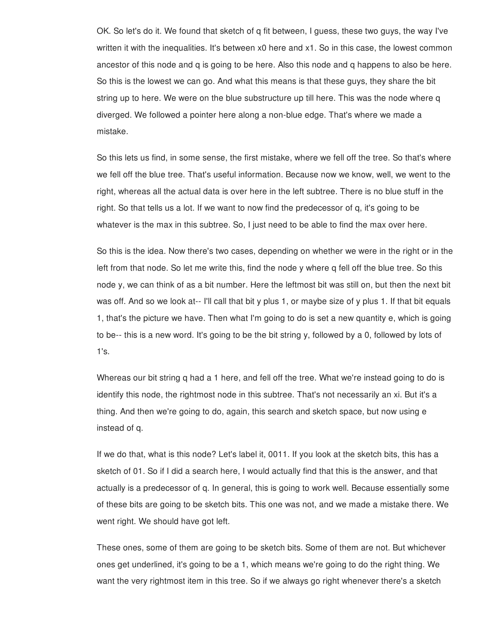OK. So let's do it. We found that sketch of q fit between, I guess, these two guys, the way I've written it with the inequalities. It's between x0 here and x1. So in this case, the lowest common ancestor of this node and q is going to be here. Also this node and q happens to also be here. So this is the lowest we can go. And what this means is that these guys, they share the bit string up to here. We were on the blue substructure up till here. This was the node where q diverged. We followed a pointer here along a non-blue edge. That's where we made a mistake.

So this lets us find, in some sense, the first mistake, where we fell off the tree. So that's where we fell off the blue tree. That's useful information. Because now we know, well, we went to the right, whereas all the actual data is over here in the left subtree. There is no blue stuff in the right. So that tells us a lot. If we want to now find the predecessor of q, it's going to be whatever is the max in this subtree. So, I just need to be able to find the max over here.

So this is the idea. Now there's two cases, depending on whether we were in the right or in the left from that node. So let me write this, find the node y where q fell off the blue tree. So this node y, we can think of as a bit number. Here the leftmost bit was still on, but then the next bit was off. And so we look at-- I'll call that bit y plus 1, or maybe size of y plus 1. If that bit equals 1, that's the picture we have. Then what I'm going to do is set a new quantity e, which is going to be-- this is a new word. It's going to be the bit string y, followed by a 0, followed by lots of 1's.

Whereas our bit string q had a 1 here, and fell off the tree. What we're instead going to do is identify this node, the rightmost node in this subtree. That's not necessarily an xi. But it's a thing. And then we're going to do, again, this search and sketch space, but now using e instead of q.

If we do that, what is this node? Let's label it, 0011. If you look at the sketch bits, this has a sketch of 01. So if I did a search here, I would actually find that this is the answer, and that actually is a predecessor of q. In general, this is going to work well. Because essentially some of these bits are going to be sketch bits. This one was not, and we made a mistake there. We went right. We should have got left.

These ones, some of them are going to be sketch bits. Some of them are not. But whichever ones get underlined, it's going to be a 1, which means we're going to do the right thing. We want the very rightmost item in this tree. So if we always go right whenever there's a sketch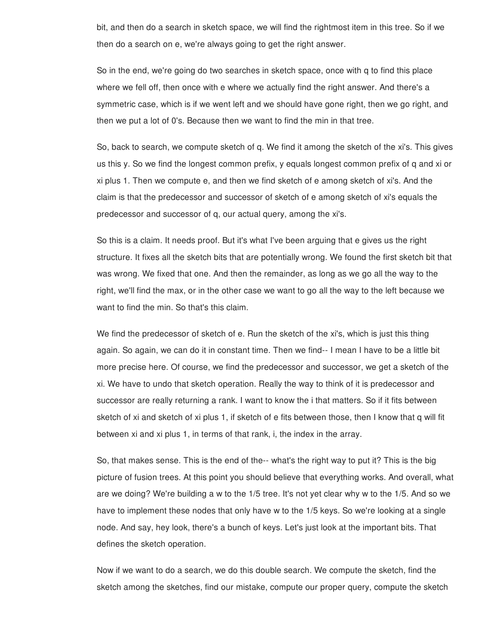bit, and then do a search in sketch space, we will find the rightmost item in this tree. So if we then do a search on e, we're always going to get the right answer.

So in the end, we're going do two searches in sketch space, once with q to find this place where we fell off, then once with e where we actually find the right answer. And there's a symmetric case, which is if we went left and we should have gone right, then we go right, and then we put a lot of 0's. Because then we want to find the min in that tree.

So, back to search, we compute sketch of q. We find it among the sketch of the xi's. This gives us this y. So we find the longest common prefix, y equals longest common prefix of q and xi or xi plus 1. Then we compute e, and then we find sketch of e among sketch of xi's. And the claim is that the predecessor and successor of sketch of e among sketch of xi's equals the predecessor and successor of q, our actual query, among the xi's.

So this is a claim. It needs proof. But it's what I've been arguing that e gives us the right structure. It fixes all the sketch bits that are potentially wrong. We found the first sketch bit that was wrong. We fixed that one. And then the remainder, as long as we go all the way to the right, we'll find the max, or in the other case we want to go all the way to the left because we want to find the min. So that's this claim.

We find the predecessor of sketch of e. Run the sketch of the xi's, which is just this thing again. So again, we can do it in constant time. Then we find-- I mean I have to be a little bit more precise here. Of course, we find the predecessor and successor, we get a sketch of the xi. We have to undo that sketch operation. Really the way to think of it is predecessor and successor are really returning a rank. I want to know the i that matters. So if it fits between sketch of xi and sketch of xi plus 1, if sketch of e fits between those, then I know that q will fit between xi and xi plus 1, in terms of that rank, i, the index in the array.

So, that makes sense. This is the end of the-- what's the right way to put it? This is the big picture of fusion trees. At this point you should believe that everything works. And overall, what are we doing? We're building a w to the 1/5 tree. It's not yet clear why w to the 1/5. And so we have to implement these nodes that only have w to the 1/5 keys. So we're looking at a single node. And say, hey look, there's a bunch of keys. Let's just look at the important bits. That defines the sketch operation.

Now if we want to do a search, we do this double search. We compute the sketch, find the sketch among the sketches, find our mistake, compute our proper query, compute the sketch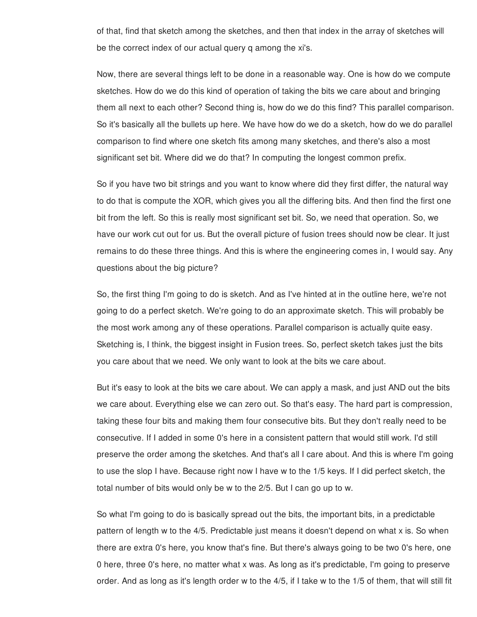of that, find that sketch among the sketches, and then that index in the array of sketches will be the correct index of our actual query q among the xi's.

Now, there are several things left to be done in a reasonable way. One is how do we compute sketches. How do we do this kind of operation of taking the bits we care about and bringing them all next to each other? Second thing is, how do we do this find? This parallel comparison. So it's basically all the bullets up here. We have how do we do a sketch, how do we do parallel comparison to find where one sketch fits among many sketches, and there's also a most significant set bit. Where did we do that? In computing the longest common prefix.

So if you have two bit strings and you want to know where did they first differ, the natural way to do that is compute the XOR, which gives you all the differing bits. And then find the first one bit from the left. So this is really most significant set bit. So, we need that operation. So, we have our work cut out for us. But the overall picture of fusion trees should now be clear. It just remains to do these three things. And this is where the engineering comes in, I would say. Any questions about the big picture?

So, the first thing I'm going to do is sketch. And as I've hinted at in the outline here, we're not going to do a perfect sketch. We're going to do an approximate sketch. This will probably be the most work among any of these operations. Parallel comparison is actually quite easy. Sketching is, I think, the biggest insight in Fusion trees. So, perfect sketch takes just the bits you care about that we need. We only want to look at the bits we care about.

But it's easy to look at the bits we care about. We can apply a mask, and just AND out the bits we care about. Everything else we can zero out. So that's easy. The hard part is compression, taking these four bits and making them four consecutive bits. But they don't really need to be consecutive. If I added in some 0's here in a consistent pattern that would still work. I'd still preserve the order among the sketches. And that's all I care about. And this is where I'm going to use the slop I have. Because right now I have w to the 1/5 keys. If I did perfect sketch, the total number of bits would only be w to the 2/5. But I can go up to w.

So what I'm going to do is basically spread out the bits, the important bits, in a predictable pattern of length w to the 4/5. Predictable just means it doesn't depend on what x is. So when there are extra 0's here, you know that's fine. But there's always going to be two 0's here, one 0 here, three 0's here, no matter what x was. As long as it's predictable, I'm going to preserve order. And as long as it's length order w to the 4/5, if I take w to the 1/5 of them, that will still fit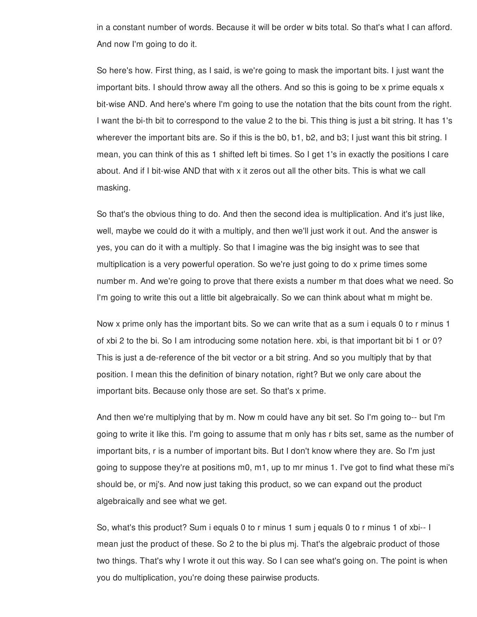in a constant number of words. Because it will be order w bits total. So that's what I can afford. And now I'm going to do it.

So here's how. First thing, as I said, is we're going to mask the important bits. I just want the important bits. I should throw away all the others. And so this is going to be x prime equals x bit-wise AND. And here's where I'm going to use the notation that the bits count from the right. I want the bi-th bit to correspond to the value 2 to the bi. This thing is just a bit string. It has 1's wherever the important bits are. So if this is the b0, b1, b2, and b3; I just want this bit string. I mean, you can think of this as 1 shifted left bi times. So I get 1's in exactly the positions I care about. And if I bit-wise AND that with x it zeros out all the other bits. This is what we call masking.

So that's the obvious thing to do. And then the second idea is multiplication. And it's just like, well, maybe we could do it with a multiply, and then we'll just work it out. And the answer is yes, you can do it with a multiply. So that I imagine was the big insight was to see that multiplication is a very powerful operation. So we're just going to do x prime times some number m. And we're going to prove that there exists a number m that does what we need. So I'm going to write this out a little bit algebraically. So we can think about what m might be.

Now x prime only has the important bits. So we can write that as a sum i equals 0 to r minus 1 of xbi 2 to the bi. So I am introducing some notation here. xbi, is that important bit bi 1 or 0? This is just a de-reference of the bit vector or a bit string. And so you multiply that by that position. I mean this the definition of binary notation, right? But we only care about the important bits. Because only those are set. So that's x prime.

And then we're multiplying that by m. Now m could have any bit set. So I'm going to-- but I'm going to write it like this. I'm going to assume that m only has r bits set, same as the number of important bits, r is a number of important bits. But I don't know where they are. So I'm just going to suppose they're at positions m0, m1, up to mr minus 1. I've got to find what these mi's should be, or mj's. And now just taking this product, so we can expand out the product algebraically and see what we get.

So, what's this product? Sum i equals 0 to r minus 1 sum j equals 0 to r minus 1 of xbi-- I mean just the product of these. So 2 to the bi plus mj. That's the algebraic product of those two things. That's why I wrote it out this way. So I can see what's going on. The point is when you do multiplication, you're doing these pairwise products.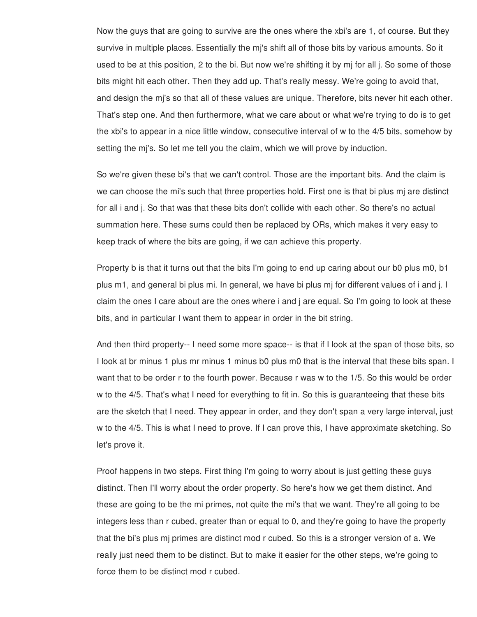Now the guys that are going to survive are the ones where the xbi's are 1, of course. But they survive in multiple places. Essentially the mj's shift all of those bits by various amounts. So it used to be at this position, 2 to the bi. But now we're shifting it by mj for all j. So some of those bits might hit each other. Then they add up. That's really messy. We're going to avoid that, and design the mj's so that all of these values are unique. Therefore, bits never hit each other. That's step one. And then furthermore, what we care about or what we're trying to do is to get the xbi's to appear in a nice little window, consecutive interval of w to the 4/5 bits, somehow by setting the mj's. So let me tell you the claim, which we will prove by induction.

So we're given these bi's that we can't control. Those are the important bits. And the claim is we can choose the mi's such that three properties hold. First one is that bi plus mj are distinct for all i and j. So that was that these bits don't collide with each other. So there's no actual summation here. These sums could then be replaced by ORs, which makes it very easy to keep track of where the bits are going, if we can achieve this property.

Property b is that it turns out that the bits I'm going to end up caring about our b0 plus m0, b1 plus m1, and general bi plus mi. In general, we have bi plus mj for different values of i and j. I claim the ones I care about are the ones where i and j are equal. So I'm going to look at these bits, and in particular I want them to appear in order in the bit string.

And then third property-- I need some more space-- is that if I look at the span of those bits, so I look at br minus 1 plus mr minus 1 minus b0 plus m0 that is the interval that these bits span. I want that to be order r to the fourth power. Because r was w to the 1/5. So this would be order w to the 4/5. That's what I need for everything to fit in. So this is guaranteeing that these bits are the sketch that I need. They appear in order, and they don't span a very large interval, just w to the 4/5. This is what I need to prove. If I can prove this, I have approximate sketching. So let's prove it.

Proof happens in two steps. First thing I'm going to worry about is just getting these guys distinct. Then I'll worry about the order property. So here's how we get them distinct. And these are going to be the mi primes, not quite the mi's that we want. They're all going to be integers less than r cubed, greater than or equal to 0, and they're going to have the property that the bi's plus mj primes are distinct mod r cubed. So this is a stronger version of a. We really just need them to be distinct. But to make it easier for the other steps, we're going to force them to be distinct mod r cubed.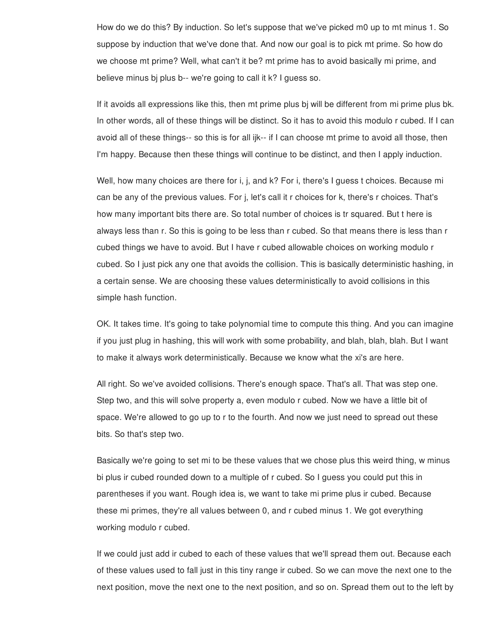How do we do this? By induction. So let's suppose that we've picked m0 up to mt minus 1. So suppose by induction that we've done that. And now our goal is to pick mt prime. So how do we choose mt prime? Well, what can't it be? mt prime has to avoid basically mi prime, and believe minus bj plus b-- we're going to call it k? I guess so.

If it avoids all expressions like this, then mt prime plus bj will be different from mi prime plus bk. In other words, all of these things will be distinct. So it has to avoid this modulo r cubed. If I can avoid all of these things-- so this is for all ijk-- if I can choose mt prime to avoid all those, then I'm happy. Because then these things will continue to be distinct, and then I apply induction.

Well, how many choices are there for i, j, and k? For i, there's I guess t choices. Because mi can be any of the previous values. For j, let's call it r choices for k, there's r choices. That's how many important bits there are. So total number of choices is tr squared. But t here is always less than r. So this is going to be less than r cubed. So that means there is less than r cubed things we have to avoid. But I have r cubed allowable choices on working modulo r cubed. So I just pick any one that avoids the collision. This is basically deterministic hashing, in a certain sense. We are choosing these values deterministically to avoid collisions in this simple hash function.

OK. It takes time. It's going to take polynomial time to compute this thing. And you can imagine if you just plug in hashing, this will work with some probability, and blah, blah, blah. But I want to make it always work deterministically. Because we know what the xi's are here.

All right. So we've avoided collisions. There's enough space. That's all. That was step one. Step two, and this will solve property a, even modulo r cubed. Now we have a little bit of space. We're allowed to go up to r to the fourth. And now we just need to spread out these bits. So that's step two.

Basically we're going to set mi to be these values that we chose plus this weird thing, w minus bi plus ir cubed rounded down to a multiple of r cubed. So I guess you could put this in parentheses if you want. Rough idea is, we want to take mi prime plus ir cubed. Because these mi primes, they're all values between 0, and r cubed minus 1. We got everything working modulo r cubed.

If we could just add ir cubed to each of these values that we'll spread them out. Because each of these values used to fall just in this tiny range ir cubed. So we can move the next one to the next position, move the next one to the next position, and so on. Spread them out to the left by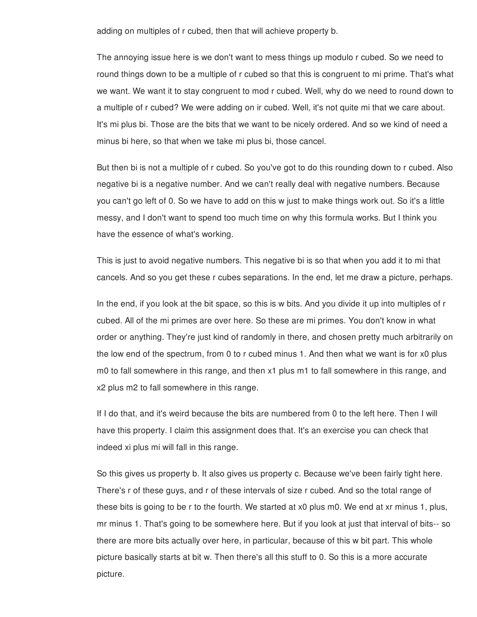adding on multiples of r cubed, then that will achieve property b.

The annoying issue here is we don't want to mess things up modulo r cubed. So we need to round things down to be a multiple of r cubed so that this is congruent to mi prime. That's what we want. We want it to stay congruent to mod r cubed. Well, why do we need to round down to a multiple of r cubed? We were adding on ir cubed. Well, it's not quite mi that we care about. It's mi plus bi. Those are the bits that we want to be nicely ordered. And so we kind of need a minus bi here, so that when we take mi plus bi, those cancel.

But then bi is not a multiple of r cubed. So you've got to do this rounding down to r cubed. Also negative bi is a negative number. And we can't really deal with negative numbers. Because you can't go left of 0. So we have to add on this w just to make things work out. So it's a little messy, and I don't want to spend too much time on why this formula works. But I think you have the essence of what's working.

This is just to avoid negative numbers. This negative bi is so that when you add it to mi that cancels. And so you get these r cubes separations. In the end, let me draw a picture, perhaps.

In the end, if you look at the bit space, so this is w bits. And you divide it up into multiples of r cubed. All of the mi primes are over here. So these are mi primes. You don't know in what order or anything. They're just kind of randomly in there, and chosen pretty much arbitrarily on the low end of the spectrum, from 0 to r cubed minus 1. And then what we want is for x0 plus m0 to fall somewhere in this range, and then x1 plus m1 to fall somewhere in this range, and x2 plus m2 to fall somewhere in this range.

If I do that, and it's weird because the bits are numbered from 0 to the left here. Then I will have this property. I claim this assignment does that. It's an exercise you can check that indeed xi plus mi will fall in this range.

So this gives us property b. It also gives us property c. Because we've been fairly tight here. There's r of these guys, and r of these intervals of size r cubed. And so the total range of these bits is going to be r to the fourth. We started at x0 plus m0. We end at xr minus 1, plus, mr minus 1. That's going to be somewhere here. But if you look at just that interval of bits-- so there are more bits actually over here, in particular, because of this w bit part. This whole picture basically starts at bit w. Then there's all this stuff to 0. So this is a more accurate picture.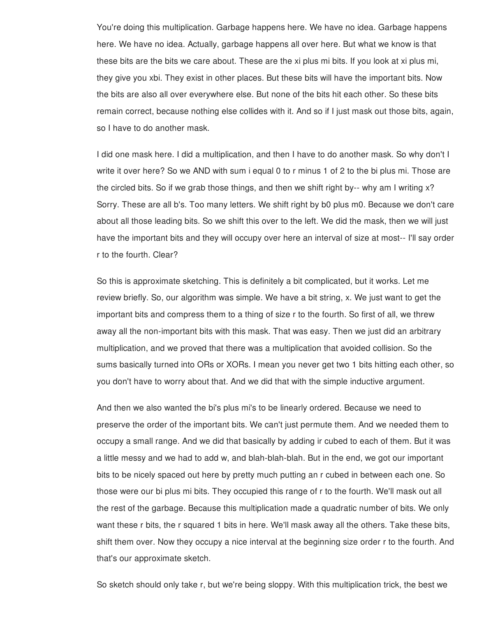You're doing this multiplication. Garbage happens here. We have no idea. Garbage happens here. We have no idea. Actually, garbage happens all over here. But what we know is that these bits are the bits we care about. These are the xi plus mi bits. If you look at xi plus mi, they give you xbi. They exist in other places. But these bits will have the important bits. Now the bits are also all over everywhere else. But none of the bits hit each other. So these bits remain correct, because nothing else collides with it. And so if I just mask out those bits, again, so I have to do another mask.

I did one mask here. I did a multiplication, and then I have to do another mask. So why don't I write it over here? So we AND with sum i equal 0 to r minus 1 of 2 to the bi plus mi. Those are the circled bits. So if we grab those things, and then we shift right by-- why am I writing x? Sorry. These are all b's. Too many letters. We shift right by b0 plus m0. Because we don't care about all those leading bits. So we shift this over to the left. We did the mask, then we will just have the important bits and they will occupy over here an interval of size at most-- I'll say order r to the fourth. Clear?

So this is approximate sketching. This is definitely a bit complicated, but it works. Let me review briefly. So, our algorithm was simple. We have a bit string, x. We just want to get the important bits and compress them to a thing of size r to the fourth. So first of all, we threw away all the non-important bits with this mask. That was easy. Then we just did an arbitrary multiplication, and we proved that there was a multiplication that avoided collision. So the sums basically turned into ORs or XORs. I mean you never get two 1 bits hitting each other, so you don't have to worry about that. And we did that with the simple inductive argument.

And then we also wanted the bi's plus mi's to be linearly ordered. Because we need to preserve the order of the important bits. We can't just permute them. And we needed them to occupy a small range. And we did that basically by adding ir cubed to each of them. But it was a little messy and we had to add w, and blah-blah-blah. But in the end, we got our important bits to be nicely spaced out here by pretty much putting an r cubed in between each one. So those were our bi plus mi bits. They occupied this range of r to the fourth. We'll mask out all the rest of the garbage. Because this multiplication made a quadratic number of bits. We only want these r bits, the r squared 1 bits in here. We'll mask away all the others. Take these bits, shift them over. Now they occupy a nice interval at the beginning size order r to the fourth. And that's our approximate sketch.

So sketch should only take r, but we're being sloppy. With this multiplication trick, the best we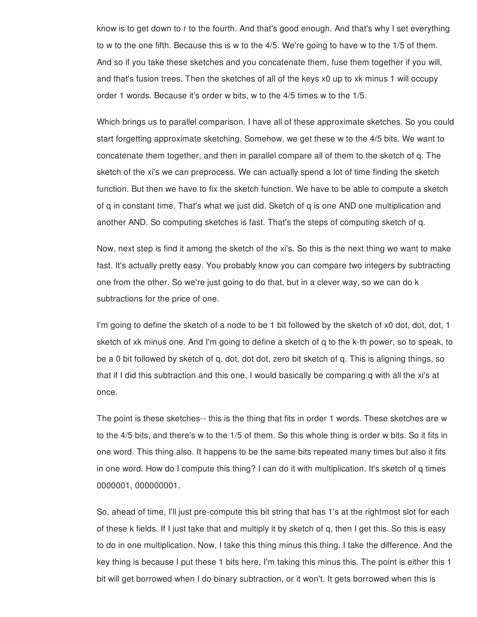know is to get down to r to the fourth. And that's good enough. And that's why I set everything to w to the one fifth. Because this is w to the 4/5. We're going to have w to the 1/5 of them. And so if you take these sketches and you concatenate them, fuse them together if you will, and that's fusion trees. Then the sketches of all of the keys x0 up to xk minus 1 will occupy order 1 words. Because it's order w bits, w to the 4/5 times w to the 1/5.

Which brings us to parallel comparison. I have all of these approximate sketches. So you could start forgetting approximate sketching. Somehow, we get these w to the 4/5 bits. We want to concatenate them together, and then in parallel compare all of them to the sketch of q. The sketch of the xi's we can preprocess. We can actually spend a lot of time finding the sketch function. But then we have to fix the sketch function. We have to be able to compute a sketch of q in constant time. That's what we just did. Sketch of q is one AND one multiplication and another AND. So computing sketches is fast. That's the steps of computing sketch of q.

Now, next step is find it among the sketch of the xi's. So this is the next thing we want to make fast. It's actually pretty easy. You probably know you can compare two integers by subtracting one from the other. So we're just going to do that, but in a clever way, so we can do k subtractions for the price of one.

I'm going to define the sketch of a node to be 1 bit followed by the sketch of x0 dot, dot, dot, 1 sketch of xk minus one. And I'm going to define a sketch of q to the k-th power, so to speak, to be a 0 bit followed by sketch of q, dot, dot dot, zero bit sketch of q. This is aligning things, so that if I did this subtraction and this one, I would basically be comparing q with all the xi's at once.

The point is these sketches-- this is the thing that fits in order 1 words. These sketches are w to the 4/5 bits, and there's w to the 1/5 of them. So this whole thing is order w bits. So it fits in one word. This thing also. It happens to be the same bits repeated many times but also it fits in one word. How do I compute this thing? I can do it with multiplication. It's sketch of q times 0000001, 000000001.

So, ahead of time, I'll just pre-compute this bit string that has 1's at the rightmost slot for each of these k fields. If I just take that and multiply it by sketch of q, then I get this. So this is easy to do in one multiplication. Now, I take this thing minus this thing. I take the difference. And the key thing is because I put these 1 bits here, I'm taking this minus this. The point is either this 1 bit will get borrowed when I do binary subtraction, or it won't. It gets borrowed when this is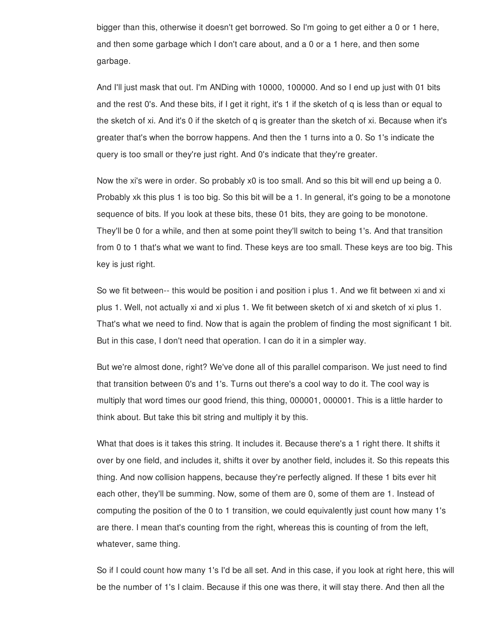bigger than this, otherwise it doesn't get borrowed. So I'm going to get either a 0 or 1 here, and then some garbage which I don't care about, and a 0 or a 1 here, and then some garbage.

And I'll just mask that out. I'm ANDing with 10000, 100000. And so I end up just with 01 bits and the rest 0's. And these bits, if I get it right, it's 1 if the sketch of q is less than or equal to the sketch of xi. And it's 0 if the sketch of q is greater than the sketch of xi. Because when it's greater that's when the borrow happens. And then the 1 turns into a 0. So 1's indicate the query is too small or they're just right. And 0's indicate that they're greater.

Now the xi's were in order. So probably x0 is too small. And so this bit will end up being a 0. Probably xk this plus 1 is too big. So this bit will be a 1. In general, it's going to be a monotone sequence of bits. If you look at these bits, these 01 bits, they are going to be monotone. They'll be 0 for a while, and then at some point they'll switch to being 1's. And that transition from 0 to 1 that's what we want to find. These keys are too small. These keys are too big. This key is just right.

So we fit between-- this would be position i and position i plus 1. And we fit between xi and xi plus 1. Well, not actually xi and xi plus 1. We fit between sketch of xi and sketch of xi plus 1. That's what we need to find. Now that is again the problem of finding the most significant 1 bit. But in this case, I don't need that operation. I can do it in a simpler way.

But we're almost done, right? We've done all of this parallel comparison. We just need to find that transition between 0's and 1's. Turns out there's a cool way to do it. The cool way is multiply that word times our good friend, this thing, 000001, 000001. This is a little harder to think about. But take this bit string and multiply it by this.

What that does is it takes this string. It includes it. Because there's a 1 right there. It shifts it over by one field, and includes it, shifts it over by another field, includes it. So this repeats this thing. And now collision happens, because they're perfectly aligned. If these 1 bits ever hit each other, they'll be summing. Now, some of them are 0, some of them are 1. Instead of computing the position of the 0 to 1 transition, we could equivalently just count how many 1's are there. I mean that's counting from the right, whereas this is counting of from the left, whatever, same thing.

So if I could count how many 1's I'd be all set. And in this case, if you look at right here, this will be the number of 1's I claim. Because if this one was there, it will stay there. And then all the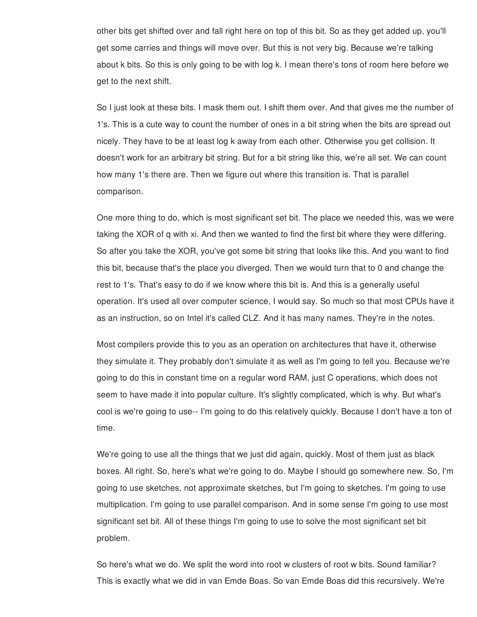other bits get shifted over and fall right here on top of this bit. So as they get added up, you'll get some carries and things will move over. But this is not very big. Because we're talking about k bits. So this is only going to be with log k. I mean there's tons of room here before we get to the next shift.

So I just look at these bits. I mask them out. I shift them over. And that gives me the number of 1's. This is a cute way to count the number of ones in a bit string when the bits are spread out nicely. They have to be at least log k away from each other. Otherwise you get collision. It doesn't work for an arbitrary bit string. But for a bit string like this, we're all set. We can count how many 1's there are. Then we figure out where this transition is. That is parallel comparison.

One more thing to do, which is most significant set bit. The place we needed this, was we were taking the XOR of q with xi. And then we wanted to find the first bit where they were differing. So after you take the XOR, you've got some bit string that looks like this. And you want to find this bit, because that's the place you diverged. Then we would turn that to 0 and change the rest to 1's. That's easy to do if we know where this bit is. And this is a generally useful operation. It's used all over computer science, I would say. So much so that most CPUs have it as an instruction, so on Intel it's called CLZ. And it has many names. They're in the notes.

Most compilers provide this to you as an operation on architectures that have it, otherwise they simulate it. They probably don't simulate it as well as I'm going to tell you. Because we're going to do this in constant time on a regular word RAM, just C operations, which does not seem to have made it into popular culture. It's slightly complicated, which is why. But what's cool is we're going to use-- I'm going to do this relatively quickly. Because I don't have a ton of time.

We're going to use all the things that we just did again, quickly. Most of them just as black boxes. All right. So, here's what we're going to do. Maybe I should go somewhere new. So, I'm going to use sketches, not approximate sketches, but I'm going to sketches. I'm going to use multiplication. I'm going to use parallel comparison. And in some sense I'm going to use most significant set bit. All of these things I'm going to use to solve the most significant set bit problem.

So here's what we do. We split the word into root w clusters of root w bits. Sound familiar? This is exactly what we did in van Emde Boas. So van Emde Boas did this recursively. We're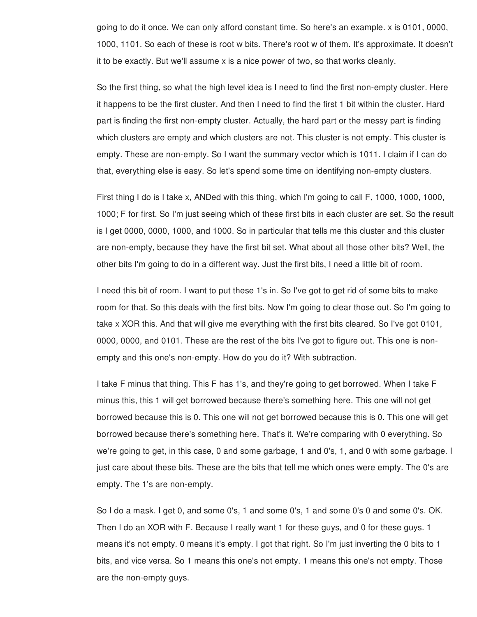going to do it once. We can only afford constant time. So here's an example. x is 0101, 0000, 1000, 1101. So each of these is root w bits. There's root w of them. It's approximate. It doesn't it to be exactly. But we'll assume x is a nice power of two, so that works cleanly.

So the first thing, so what the high level idea is I need to find the first non-empty cluster. Here it happens to be the first cluster. And then I need to find the first 1 bit within the cluster. Hard part is finding the first non-empty cluster. Actually, the hard part or the messy part is finding which clusters are empty and which clusters are not. This cluster is not empty. This cluster is empty. These are non-empty. So I want the summary vector which is 1011. I claim if I can do that, everything else is easy. So let's spend some time on identifying non-empty clusters.

First thing I do is I take x, ANDed with this thing, which I'm going to call F, 1000, 1000, 1000, 1000; F for first. So I'm just seeing which of these first bits in each cluster are set. So the result is I get 0000, 0000, 1000, and 1000. So in particular that tells me this cluster and this cluster are non-empty, because they have the first bit set. What about all those other bits? Well, the other bits I'm going to do in a different way. Just the first bits, I need a little bit of room.

I need this bit of room. I want to put these 1's in. So I've got to get rid of some bits to make room for that. So this deals with the first bits. Now I'm going to clear those out. So I'm going to take x XOR this. And that will give me everything with the first bits cleared. So I've got 0101, 0000, 0000, and 0101. These are the rest of the bits I've got to figure out. This one is nonempty and this one's non-empty. How do you do it? With subtraction.

I take F minus that thing. This F has 1's, and they're going to get borrowed. When I take F minus this, this 1 will get borrowed because there's something here. This one will not get borrowed because this is 0. This one will not get borrowed because this is 0. This one will get borrowed because there's something here. That's it. We're comparing with 0 everything. So we're going to get, in this case, 0 and some garbage, 1 and 0's, 1, and 0 with some garbage. I just care about these bits. These are the bits that tell me which ones were empty. The 0's are empty. The 1's are non-empty.

So I do a mask. I get 0, and some 0's, 1 and some 0's, 1 and some 0's 0 and some 0's. OK. Then I do an XOR with F. Because I really want 1 for these guys, and 0 for these guys. 1 means it's not empty. 0 means it's empty. I got that right. So I'm just inverting the 0 bits to 1 bits, and vice versa. So 1 means this one's not empty. 1 means this one's not empty. Those are the non-empty guys.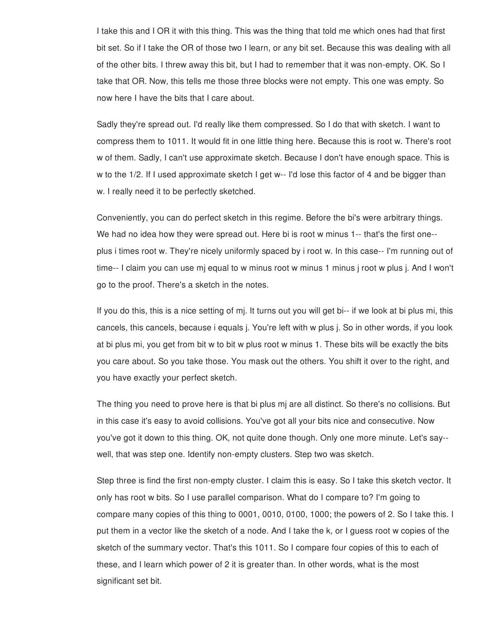I take this and I OR it with this thing. This was the thing that told me which ones had that first bit set. So if I take the OR of those two I learn, or any bit set. Because this was dealing with all of the other bits. I threw away this bit, but I had to remember that it was non-empty. OK. So I take that OR. Now, this tells me those three blocks were not empty. This one was empty. So now here I have the bits that I care about.

Sadly they're spread out. I'd really like them compressed. So I do that with sketch. I want to compress them to 1011. It would fit in one little thing here. Because this is root w. There's root w of them. Sadly, I can't use approximate sketch. Because I don't have enough space. This is w to the 1/2. If I used approximate sketch I get w-- I'd lose this factor of 4 and be bigger than w. I really need it to be perfectly sketched.

Conveniently, you can do perfect sketch in this regime. Before the bi's were arbitrary things. We had no idea how they were spread out. Here bi is root w minus 1-- that's the first one- plus i times root w. They're nicely uniformly spaced by i root w. In this case-- I'm running out of time-- I claim you can use mj equal to w minus root w minus 1 minus j root w plus j. And I won't go to the proof. There's a sketch in the notes.

If you do this, this is a nice setting of mj. It turns out you will get bi-- if we look at bi plus mi, this cancels, this cancels, because i equals j. You're left with w plus j. So in other words, if you look at bi plus mi, you get from bit w to bit w plus root w minus 1. These bits will be exactly the bits you care about. So you take those. You mask out the others. You shift it over to the right, and you have exactly your perfect sketch.

The thing you need to prove here is that bi plus mj are all distinct. So there's no collisions. But in this case it's easy to avoid collisions. You've got all your bits nice and consecutive. Now you've got it down to this thing. OK, not quite done though. Only one more minute. Let's say- well, that was step one. Identify non-empty clusters. Step two was sketch.

Step three is find the first non-empty cluster. I claim this is easy. So I take this sketch vector. It only has root w bits. So I use parallel comparison. What do I compare to? I'm going to compare many copies of this thing to 0001, 0010, 0100, 1000; the powers of 2. So I take this. I put them in a vector like the sketch of a node. And I take the k, or I guess root w copies of the sketch of the summary vector. That's this 1011. So I compare four copies of this to each of these, and I learn which power of 2 it is greater than. In other words, what is the most significant set bit.